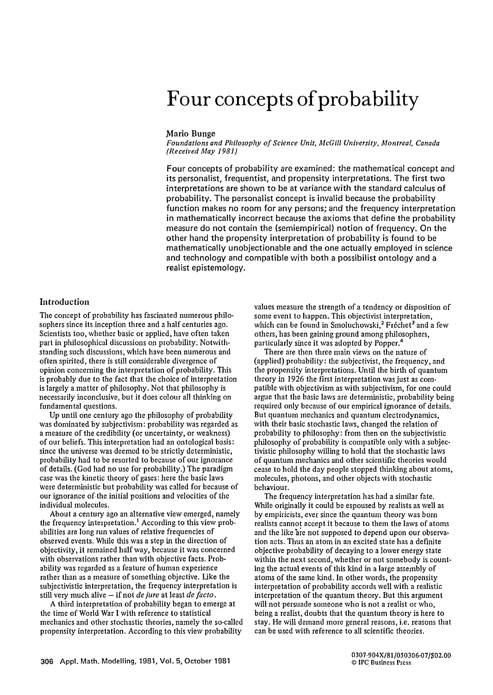# **Four concepts of probability**

#### Mario Bunge

*Foundations and Philosophy of Science Unit, McGill University, Montreal, Canada (Received May 1981)* 

Four concepts of probability are examined: the mathematical concept and its personalist, frequentist, and propensity interpretations. The first two interpretations are shown to be at variance with the standard calculus of probability. The personalist concept is invalid because the probability function makes no room for any persons; and the frequency interpretation in mathematically incorrect because the axioms that define the probability measure do not contain the (semiempirical) notion of frequency. On the other hand the propensity interpretation of probability is found to be mathematically unobjectionable and the one actually employed in science and technology and compatible with both a possibilist ontology and a realist epistemology.

# Introduction

The concept of probability has fascinated numerous philosophers since its inception three and a half centuries ago. Scientists too, whether basic or applied, have often taken part in philosophical discussions on probability. Notwithstanding such discussions, which have been numerous and often spirited, there is still considerable divergence of opinion concerning the interpretation of probability. This is probably due to the fact that the choice of interpretation is largely a matter of philosophy. Not that philosophy is necessarily inconclusive, but it does colour all thinking on fundamental questions.

Up until one century ago the philosophy of probability was dominated by subjectivism: probability was regarded as a measure of the credibility (or uncertainty, or weakness) of our beliefs. This interpretation had an ontological basis: since the universe was deemed to be strictly deterministic, probability had to be resorted to because of our ignorance of details. (God had no use for probability.) The paradigm case was the kinetic theory of gases: here the basic laws Were deterministic but probability was called for because of our ignorance of the initial positions and velocities of the individual molecules.

About a century ago an alternative view emerged, namely the frequency interpretation.<sup>1</sup> According to this view probabilities are long run values of relative frequencies of observed events. While this was a step in the direction of objectivity, it remained half way, because it was concerned with observations rather than with objective facts. Probability was regarded as a feature of human experience rather than as a measure of something objective. Like the subjectivistic interpretation, the frequency interpretation is still very much alive – if not *de jure* at least *de facto*.

A third interpretation of probability began to emerge at the time of World War I with reference to statistical mechanics and other stochastic theories, namely the so-called propensity interpretation. According to this view probability

values measure the strength of a tendency or disposition of some event to happen. This objectivist interpretation, which can be found in Smoluchowski,<sup>2</sup> Fréchet<sup>3</sup> and a few others, has been gaining ground among philosophers, particularly since it was adopted by Popper.<sup>4</sup>

There are then three main views on the nature of (applied) probability: the subjectivist, the frequency, and the propensity interpretations. Until the birth of quantum theory in 1926 the first interpretation was just as compatible with objectivism as with subjectivism, for one could argue that the basic laws are deterministic, probability being required only because of our empirical ignorance of deiails. But quantum mechanics and quantum electrodynamics, with their basic stochastic laws, changed the relation of probability to philosophy: from then on the subjectivistic philosophy of probability is compatible only with a subjectivistic philosophy willing to hold that the stochastic laws of quantum mechanics and other scientific theories would cease to hold the day people stopped thinking about atoms, molecules, photons, and other objects with stochastic behaviour.

The frequency interpretation has had a similar fate. While originally it could be espoused by realists as well as by empiricists, ever since the quantum theory was born realists cannot accept it because to them the laws of atoms and the like are not supposed to depend upon our observation acts. Thus an atom in an excited state has a definite objective probability of decaying to a lower energy state within the next second, whether or not somebody is counting the actual events of this kind in a large assembly of atoms of the same kind. In other words, the propensity interpretation of probability accords well with a realistic interpretation of the quantum theory. But this argument will not persuade someone who is not a realist or who, being a realist, doubts that the quantum theory is here to stay. He will demand more general reasons, i.e. reasons that can be used with reference to all scientific theories.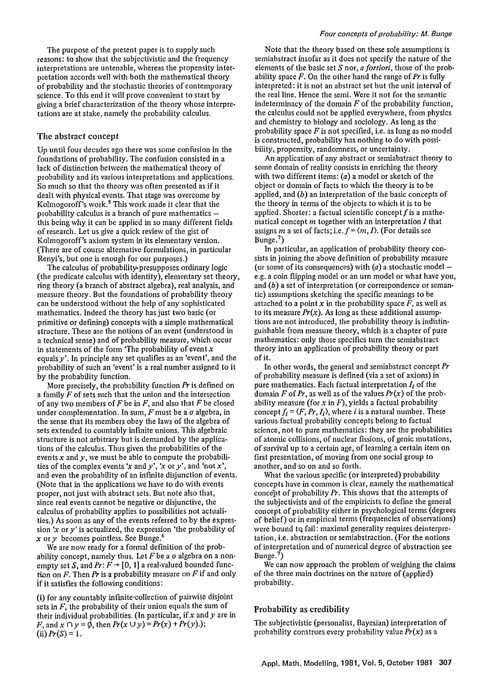The purpose of the present paper is to supply such reasons: to show that the subjectivistic and the frequency interpretations are untenable, whereas the propensity interpretation accords well with both the mathematical theory of probability and the stochastic theories of contemporary science. To this end it will prove convenient to start by giving a brief characterization of the theory whose interpretations are at stake, namely the probability calculus.

### The abstract concept

Up until four decades ago there was some confusion in the foundations of probability. The confusion consisted in a lack of distinction between the mathematical theory of probability and its various interpretations and applications. So much so that the theory was often presented as if it dealt with physical events. That stage was overcome by Kolmogoroff's work.<sup>5</sup> This work made it clear that the probability calculus is a branch of pure mathematics this being why it can be applied in so many different fields of research. Let us give a quick review of the gist of Kolmogoroff's axiom system in its elementary version. (There are of course alternative formulations, in particular Renyi's, but one is enough for our purposes.)

The calculus of probability-presupposes ordinary logic (the predicate calculus with identity), elementary set theory, ring theory (a branch of abstract algebra), real analysis, and measure theory. But the foundations of probability theory can be understood without the help of any sophisticated mathematics. Indeed the theory has just two basic (or primitive or defining) concepts with a simple mathematical structure. These are the notions of an event (understood in a technical sense) and of probability measure, which occur in statements of the form 'The probability of event  $x$ equals  $y'$ . In principle any set qualifies as an 'event', and the probability of such an 'event' is a real number assigned to it by the probability function.

More precisely, the probability function  $Pr$  is defined on a family  $F$  of sets such that the union and the intersection of any two members of F be in F, and also that F be closed under complementation. In sum, F must be a  $\sigma$  algebra, in the sense that its members obey the laws of the algebra of sets extended to countably infinite unions. This algebraic structure is not arbitrary but is demanded by the applications of the calculus. Thus given the probabilities of the events  $x$  and  $y$ , we must be able to compute the probabilities of the complex events 'x and  $y'$ , 'x or  $y'$ , and 'not x', and even the probability of an infinite disjunction of events. (Note that in the applications we have to do with events proper, not just with abstract sets. But note also that, since real events cannot be negative or disjunctive, the calculus of probability applies to possibilities not actualities.) As soon as any of the events referred to by the expression 'x or  $y$ ' is actualized, the expression 'the probability of  $x$  or  $y$  becomes pointless. See Bunge.<sup>6</sup>

We are now ready for a formal definition of the probability concept, namely thus. Let  $F$  be a  $\sigma$  algebra on a nonempty set *S*, and  $Pr: F \rightarrow [0, 1]$  a real-valued bounded function on F. Then Pr is a probability measure on F if and only if it satisfies the following conditions:

(i) for any countably infinite collection of pairwise disjoint sets in  $F$ , the probability of their union equals the sum of their individual probabilities. (In particular, if  $x$  and  $y$  are in F, and  $x \cap y = \emptyset$ , then  $Pr(x \cup y) = Pr(x) + Pr(y)$ .);  $(ii) Pr(S) = 1.$ 

Note that the theory based on these sole assumptions is semiabstract insofar as it does not specify the nature of the elements of the basic set S nor, *a fortiori,* those of the probability space  $F$ . On the other hand the range of  $Pr$  is fully interpreted: it is not an abstract set but the unit interval of the real line. Hence the semi. Were it not for the semantic indeterminacy of the domain  $F$  of the probability function, the calculus could not be applied everywhere, from physics and chemistry to biology and sociology. As long as the probability space  $F$  is not specified, i.e. as long as no model is constructed, probability has nothing to do with possibility, propensity, randomness, or uncertainty.

An application of any abstract or semiabstract theory to some domain of reality consists in enriching the theory with two different items:  $(a)$  a model or sketch of the object or domain of facts to which the theory is to be applied, and  $(b)$  an interpretation of the basic concepts of the theory in terms of the objects to which it is to be applied. Shorter: a factual scientific concept  $f$  is a mathematical concept  $m$  together with an interpretation  $I$  that assigns m a set of facts; i.e.  $f = \langle m, I \rangle$ . (For details see Bunge. $^7$ )

In particular, an application of probability theory consists in joining the above definition of probability measure (or some of its consequences) with  $(a)$  a stochastic model  $$ e.g. a coin flipping model or an urn model or what have you, and (b) a set of interpretation (or correspondence or semantic) assumptions sketching the specific meanings to be attached to a point x in the probability space  $F$ , as well as to its measure  $Pr(x)$ . As long as these additional assumptions are not introduced, the probability theory is indistinguishable from measure theory, which is a chapter of pure mathematics: only those specifics turn the semiabstract theory into an application of probability theory or part of it.

In other words, the general and semiabstract concept *Pr*  of probability measure is defined (via a set of axions) in pure mathematics. Each factual interpretation  $I_i$  of the domain F of Pr, as well as of the values  $Pr(x)$  of the probability measure (for x in  $F$ ), yields a factual probability concept  $f_i = \langle F, Pr, I_i \rangle$ , where *i* is a natural number. These various factual probability concepts belong to factual science, not to pure mathematics: they are the probabilities of atomic collisions, of nuclear fissions, of genic mutations, of survival up to a certain age, of learning a certain item on first presentation, of moving from one social group to another, and so on and so forth.

What the various specific (or interpreted) probability concepts have in common is clear, namely the mathematical concept of probability  $Pr$ . This shows that the attempts of the subjectivists and of the empiricists to define the general concept of probability either in psychological terms (degrees of belief) or in empirical terms (frequencies of observations) were bound tq fail: maximal generality requires deinterpretation, i.e. abstraction or semiabstraction. (For the notions of interpretation and of numerical degree of abstraction see  $Bunge.^7$ 

We can now approach the problem of weighing the claims of the three main doctrines on the nature of (applied) probability.

### Probability as credibility

The subjectivistic (personalist, Bayesian) interpretation of probability construes every probability value  $Pr(x)$  as a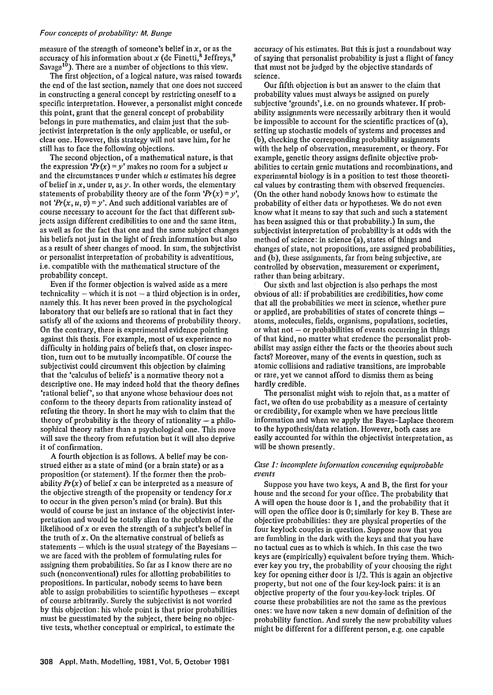#### *Four concepts of probability: M. Bunge*

measure of the strength of someone's belief in  $x$ , or as the accuracy of his information about x (de Finetti,<sup>8</sup> Jeffreys,<sup>9</sup> Savage<sup>10</sup>). There are a number of objections to this view.

The first objection, of a logical nature, was raised towards the end of the last section, namely that one does not succeed in constructing a general concept by restricting oneself to a specific interpretation. However, a personalist might concede this point, grant that the general concept of probability belongs in pure mathematics, and claim just that the subjectivist interpretation is the only applicable, or useful, or clear one. However, this strategy will not save him, for he still has to face the following objections.

The second objection, of a mathematical nature, is that the expression  $\mathcal{P}_r(x) = y'$  makes no room for a subject u and the circumstances v under which u estimates his degree of belief in x, under  $v$ , as  $y$ . In other words, the elementary statements of probability theory are of the form ' $Pr(x) = y'$ , not ' $Pr(x, u, v) = y$ '. And such additional variables are of course necessary to account for the fact that different subjects assign different credibilities to one and the same item, as well as for the fact that one and the same subject changes his beliefs not just in the light of fresh information but also as a result of sheer changes of mood. In sum, the subjectivist or personalist interpretation of probability is adventitious, i.e. compatible with the mathematical structure of the probability concept.

Even if the former objection is waived aside as a mere technicality  $-$  which it is not  $-$  a third objection is in order, namely this. It has never been proved in the psychological laboratory that our beliefs are so rational that in fact they satisfy all of the axioms and theorems of probability theory. On the contrary, there is experimental evidence pointing against this thesis. For example, most of us experience no difficulty in holding pairs of beliefs that, on closer inspection, turn out to be mutually incompatible. Of course the subjectivist could circumvent this objection by claiming that the 'calculus of beliefs' is a normative theory not a descriptive one. He may indeed hold that the theory defines 'rational belief', so that anyone whose behaviour does not conform to the theory departs from rationality instead of refuting the theory. In short he may wish to claim that the theory of probability is the theory of rationality  $-$  a philosophical theory rather than a psychological one. This move will save the theory from refutation but it will also deprive it of confirmation.

A fourth objection is as follows. A belief may be construed either as a state of mind (or a brain state) or as a proposition (or statement). If the former then the probability  $Pr(x)$  of belief x can be interpreted as a measure of the objective strength of the propensity or tendency for  $x$ to occur in the given person's mind (or brain). But this would of course be just an instance of the objectivist interpretation and would be totally alien to the problem of the likelihood of  $x$  or even the strength of a subject's belief in the truth of  $x$ . On the alternative construal of beliefs as statements  $-$  which is the usual strategy of the Bayesians  $$ we are faced with the problem of formulating rules for assigning them probabilities. So far as I know there are no such (nonconventional) rules for allotting probabilities to propositions. In particular, nobody seems to have been able to assign probabilities to scientific hypotheses  $-$  except of course arbitrarily. Surely the subjectivist is not worried by this objection: his whole point is that prior probabilities must be guesstimated by the subject, there being no objective tests, whether conceptual or empirical, to estimate the

accuracy of his estimates. But this is just a roundabout way of saying that personalist probability is just a flight of fancy that must not be judged by the objective standards of science.

Our fifth objection is but an answer to the claim that probability values must always be assigned on purely subjective 'grounds', i.e. on no grounds whatever. If probability assignments were necessarily arbitrary then it would be impossible to account for the scientific practices of (a), setting up stochastic models of systems and processes and (b), checking the corresponding probability assignments with the help of observation, measurement, or theory. For example, genetic theory assigns definite objective probabilities to certain genic mutations and recombinations, and experimental biology is in a position to test those theoretical values by contrasting them with observed frequencies. (On the other hand nobody knows how to estimate the probability of either data or hypotheses. We do not even know what it means to say that such and such a statement has been assigned this or that probability.) In sum, the subjectivist interpretation of probability-is at odds with the method of science: in science (a), states of things and changes of state, not propositions, are assigned probabilities, and (b), these assignments, far from being subjective, are controlled by observation, measurement or experiment, rather than being arbitrary.

Our sixth and last objection is also perhaps the most obvious of all: if probabilities are credibilities, how come that all the probabilities we meet in science, whether pure or applied, are probabilities of states of concrete things atoms, molecules, fields, organisms, populations, societies, or what  $not - or probabilities of events occurring in things$ of that kind, no matter what credence the personalist probabilist may assign either the facts or the theories about such facts? Moreover, many of the events in question, such as atomic collisions and radiative transitions, are improbable or rare, yet we cannot afford to dismiss them as being hardly credible.

The personalist might wish to rejoin that, as a matter of fact, we often do use probability as a measure of certainty or credibility, for example when we have precious little information and when we apply the Bayes-Laplace theorem to the hypothesis/data relation. However, both cases are easily accounted for within the objectivist interpretation, as will be shown presently.

### *Case 1: incomplete information concerning equiprobable events*

Suppose you have two keys, A and B, the first for your house and the second for your office. The probability that A will open the house door is 1, and the probability that it will open the office door is 0; similarly for key B. These are objective probabilities: they are physical properties of the four keylock couples in question. Suppose now that you are fumbling in the dark with the keys and that you have no tactual cues as to which is which. In this case the two keys are (empirically) equivalent before trying them. Whichever key you try, the probability of your choosing the right key for opening either door is  $1/2$ . This is again an objective property, but not one of the four key-lock pairs: it is an objective property of the four you-key-lock triples. Of course these probabilities are not the same as the previous ones: we have now taken a new domain of definition of the probability function. And surely the new probability values might be different for a different person, e.g. one capable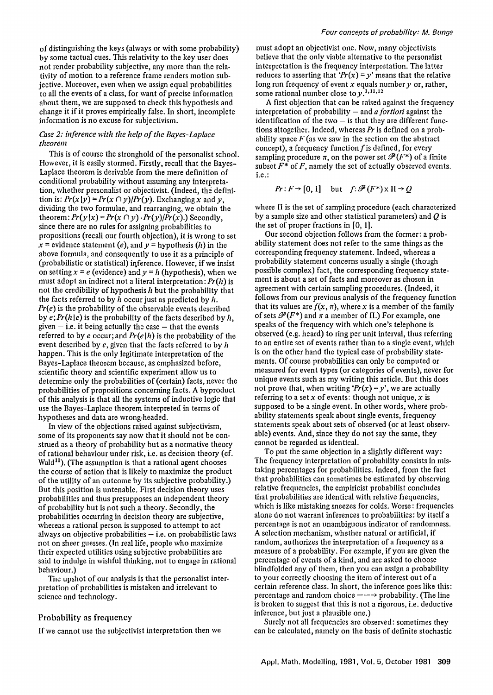of distinguishing the keys (always or with some probability) by some tactual cues. This relativity to the key user does not render probability subjective, any more than the relativity of motion to a reference frame renders motion subjective. Moreover, even when we assign equal probabilities to all the events of a class, for want of precise information about them, we are supposed to check this hypothesis and change it if it proves empirically false. In short, incomplete information is no excuse for subjectivism.

## *Case 2: inference with the help of the Bayes-Laplace theorem*

This is of course the stronghold of the personalist school. However, it is easily stormed. Firstly, recall that the Bayes-Laplace theorem is derivable from the mere definition of conditional probability without assuming any interpretation, whether personalist or objectivist. (Indeed, the defmition is:  $Pr(x|y) = Pr(x \cap y)/Pr(y)$ . Exchanging x and y, dividing the two formulae, and rearranging, we obtain the theorem:  $Pr(y|x) = Pr(x \cap y) \cdot Pr(y)/Pr(x)$ .) Secondly, since there are no rules for assigning probabilities to propositions (recall our fourth objection), it is wrong to set  $x =$  evidence statement (e), and  $y =$  hypothesis (h) in the above formula, and consequently to use it as a principle of (probabilistic or statistical) irfference. However, if we insist on setting  $x = e$  (evidence) and  $y = h$  (hypothesis), when we must adopt an indirect not a literal *interpretation:Pr(h)* is not the credibility of hypothesis  $h$  but the probability that the facts referred to by  $h$  occur just as predicted by  $h$ . *Pr(e)* is the probability of the observable events described by  $e; Pr(h|e)$  is the probability of the facts described by  $h$ , given  $-$  i.e. it being actually the case  $-$  that the events referred to by e occur; and  $Pr(e|h)$  is the probability of the event described by  $e$ , given that the facts referred to by  $h$ happen. This is the only legitimate interpretation of the Bayes-Laplace theorem because, as emphasized before, scientific theory and scientific experiment allow us to determine only the probabilities of (certain) facts, never the probabilities of propositions concerning facts. A byproduct of this analysis is that all the systems of inductive logic that use the Bayes-Laplace theorem interpreted in terms of hypotheses and data are wrong-headed.

In view of the objections raised against subjectivism, some of its proponents say now that it should not be construed as a theory of probability but as a normative theory of rational behaviour under risk, i.e. as decision theory (cf.  $Wald<sup>11</sup>$ ). (The assumption is that a rational agent chooses the course of action that is likely to maximize the product of the utility of an outcome by its subjective probability.) But this position is untenable. First decision theory uses probabilities and thus presupposes an independent theory of probability but is not sucha theory. Secondly, the probabilities occurring in decision theory are subjective, whereas a rational person is supposed to attempt to act always on objective probabilities  $-$  i.e. on probabilistic laws not on sheer guesses. (In real life, people who maximize their expected utilities using subjective probabilities are said to indulge in wishful thinking, not to engage in rational behaviour.)

The upshot of our analysis is that the personalist interpretation of probabilities is mistaken and irrelevant to science and technology.

### Probability as frequency

If we cannot use the subjectivist interpretation then we

must adopt an objectivist one. Now, many objectivists believe that the only viable alternative to the personalist interpretation is the frequency interpretation. The latter reduces to asserting that ' $Pr(x) = y'$  means that the relative long run frequency of event  $x$  equals number  $y$  or, rather, some rational number close to  $y$ <sup>1,11,12</sup>

A first objection that can be raised against the frequency interpretation of probability - and *a fortiori* against the identification of the two  $-$  is that they are different functions altogether. Indeed, whereas  $Pr$  is defined on a probability space  $F$  (as we saw in the section on the abstract concept), a frequency function  $f$  is defined, for every sampling procedure  $\pi$ , on the power set  $\mathscr{P}(F^*)$  of a finite subset  $F^*$  of F, namely the set of actually observed events. i.e.:

$$
Pr: F \to [0, 1] \quad \text{but} \quad f: \mathscr{P}(F^*) \times \Pi \to Q
$$

where  $\Pi$  is the set of sampling procedure (each characterized by a sample size and other statistical parameters) and  $Q$  is the set of proper fractions in [0, 1].

Our second objection follows from the former: a probability statement does not refer to the same things as the corresponding frequency statement. Indeed, whereas a probability statement concerns usually a single (though possible complex) fact, the corresponding frequency statement is about a set of facts and moreover as chosen in agreement with certain sampling procedures. (Indeed, it follows from our previous analysis of the frequency function that its values are  $f(x, \pi)$ , where x is a member of the family of sets  $\mathcal{P}(F^*)$  and  $\pi$  a member of II.) For example, one speaks of the frequency with which one's telephone is observed (e.g. heard) to ring per unit interval, thus referring to an entire set of events rather than to a single event, which is on the other hand the typical case of probability statements. Of course probabilities can only be computed or measured for event types (or categories of events), never for unique events such as my writing this article. But this does not prove that, when writing  $Pr(x) = y'$ , we are actually referring to a set  $x$  of events: though not unique,  $x$  is supposed to be a single event. In other words, where probability statements speak about single events, frequency statements speak about sets of observed (or at least observable) events. *And,* since they do not say the same, they cannot be regarded as identical.

To put the same objection in a slightly different way: The frequency interpretation of probability consists in mistaking percentages for probabilities. Indeed, from the fact that probabilities can sometimes be estimated by observing relative frequencies, the empiricist probabilist concludes that probabilities are identical with relative frequencies, which is like mistaking sneezes for colds. Worse: frequencies alone do not warrant inferences to probabilities: by itself a percentage is not an unambiguous indicator of randomness. A selection mechanism, whether natural or artificial, if random, authorizes the interpretation of a frequency as a measure of a probability. For example, if you are given the percentage of events of a kind, and are asked to choose blindfolded any of them, then you can assign a probability to your correctly choosing the item of interest out of a certain reference class. In short, the inference goes like this: percentage and random choice  $-\rightarrow$  probability. (The line is broken to suggest that this is not a rigorous, i.e. deductive inference, but just a plausible one.)

Surely not all frequencies are observed: sometimes they can be calculated, namely on the basis of definite stochastic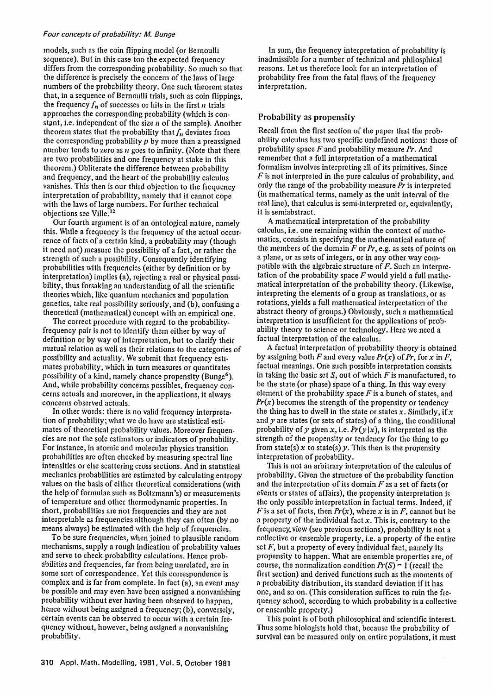#### *Four concepts of probability: M. Bunge*

models, such as the coin flipping model (or Bernoulli sequence). But in this case too the expected frequency differs from the corresponding probability. So much so that the difference is precisely the concern of the laws of large numbers of the probability theory. One such theorem states that, in a sequence of Bernoulli trials, such as coin flippings, the frequency  $f_n$  of successes or hits in the first n trials approaches the corresponding probability (which is constant, i.e. independent of the size  $n$  of the sample). Another theorem states that the probability that  $f_n$  deviates from the corresponding probability  $p$  by more than a preassigned number tends to zero as  $n$  goes to infinity. (Note that there are two probabilities and one frequency at stake in this theorem.) Obliterate the difference between probability and frequency, and the heart of the probability calculus vanishes. This then is our third objection to the frequency interpretation of probability, namely that it cannot cope with the laws of large numbers. For further technical objections see Ville. $^{12}$ 

Our fourth argument is of an ontological nature, namely this. While a frequency is the frequency of the actual occurrence of facts of a certain kind, a probability may (though it need not) measure the possibility of a fact, or rather the strength of such a possibility. Consequently identifying probabilities with frequencies (either by definition or by interpretation) implies (a), rejecting a real or physical possibility, thus forsaking an understanding of all the scientific theories which, like quantum mechanics and population genetics, take real possibility seriously, and (b), confusing a theoretical (mathematical) concept with an empirical one.

The correct procedure with regard to the probabilityfrequency pair is not to identify them either by way of def'mition or by way of interpretation, but to clarify their mutual relation as well as their relations to the categories of possibility and actuality. We submit that frequency estimates probability, which in turn measures or quantitates possibility of a kind, namely chance propensity (Bunge<sup>6</sup>). And, while probability concerns possibles, frequency concerns actuals and moreover, in the applications, it always concerns observed actuals.

In other words: there is no valid frequency interpreta. tion of probability; what we do have are statistical estimates of theoretical probability values. Moreover frequencies are not the sole estimators or indicators of probability. For instance, in atomic and molecular physics transition probabilities are often checked by measuring spectral line intensities or else scattering cross sections. And in statistical mechanics probabilities are estimated by calculating entropy values on the basis of either theoretical considerations (with the help of formulae such as Boltzmann's) or measurements of temperature and other thermodynamic properties. In short, probabilities are not frequencies and they are not interpretable as frequencies although they can often (by no means always) be estimated with the help of frequencies.

To be sure frequencies, when joined to plausible random mechanisms, supply a rough indication of probability values and serve to check probability calculations. Hence probabilities and frequencies, far from being unrelated, are in some sort of correspondence. Yet this correspondence is complex and is far from complete. In fact (a), an event may be possible and may even have been assigned a nonvanishing probability without ever having been observed to happen, hence without being assigned a frequency; (b), conversely, certain events can be observed to occur with a certain frequency without, however, being assigned a nonvanishing probability.

In sum, the frequency interpretation of probability is inadmissible for a number of technical and philosphical reasons. Let us therefore look for an interpretation of probability free from the fatal flaws of the frequency interpretation.

# Probability as propensity

Recall from the first section of the paper that the probability calculus has two specific undefined notions: those of probability space F and probability measure *Pr. And*  remember that a full interpretation of a mathematical formalism involves interpreting all of its primitives. Since  $F$  is not interpreted in the pure calculus of probability, and only the range of the probability measure  $Pr$  is interpreted (in mathematical terms, namely as the unit interval of the real line), that calculus is semi-interpreted or, equivalently, it is semiabstract.

A mathematical interpretation of the probability calculus, i.e. one remaining within the context of mathe. matics, consists in specifying the mathematical nature of the members of the domain  $F$  or  $Pr$ , e.g. as sets of points on a plane, or as sets of integers, or in any other way compatible with the algebraic structure of F. Such an interpretation of the probability space  $F$  would yield a full mathematical interpretation of the probability theory. (Likewise, interpreting the elements of a group as translations, or as rotations, yields a full mathematical interpretation of the abstract theory of groups.) Obviously, such a mathematical interpretation is insufficient for the applications of probability theory to science or technology. Here we need a factual interpretation of the calculus.

A factual interpretation of probability theory is obtained by assigning both F and every value  $Pr(x)$  of  $Pr$ , for x in F, factual meanings. One such possible interpretation consists in taking the basic set S, out of which  $F$  is manufactured, to be the state (or phase) space of a thing. In this way every element of the probability space  $F$  is a bunch of states, and *Pr(x)* becomes the strength of the propensity or tendency the thing has to dwell in the state or states x. Similarly, if x and  $y$  are states (or sets of states) of a thing, the conditional probability of y given x, i.e.  $Pr(y|x)$ , is interpreted as the strength of the propensity or tendency for the thing to go from state(s) x to state(s) y. This then is the propensity interpretation of probability.

This is not an arbitrary interpretation of the calculus of probability. Given the structure of the probability function and the interpretation of its domain  $F$  as a set of facts (or events or states of affairs), the propensity interpretation is the only possible interpretation in factual terms. Indeed, if F is a set of facts, then  $Pr(x)$ , where x is in F, cannot but be a property of the individual fact  $x$ . This is, contrary to the frequency.view (see previous sections), probability is not a collective or ensemble property, i.e. a property of the entire set  $F$ , but a property of every individual fact, namely its propensity to happen. What are ensemble properties are, of course, the normalization condition  $Pr(S) = 1$  (recall the first section) and derived functions such as the moments of a probability distribution, its standard deviation if it has one, and so on. (This consideration suffices to ruin the frequency school, according to which probability is a collective or ensemble property.)

This point is of both philosophical and scientific interest. Thus some biologists hold that, because the probability of survival can be measured only on entire populations, it must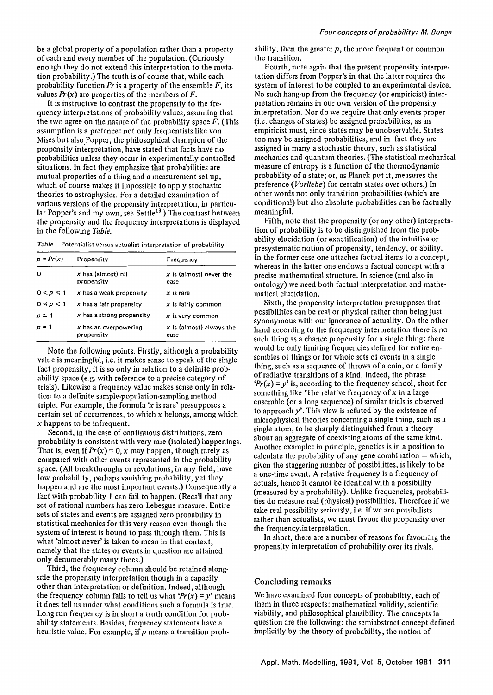be a global property of a population rather than a property of each and every member of the population. (Curiously enough they do not extend this interpretation to the mutation probability.) The truth is of course that, while each probability function *Pr* is a property of the ensemble F, its values  $Pr(x)$  are properties of the members of F.

It is instructive to contrast the propensity to the frequency interpretations of probability values, assuming that the two agree on the nature of the probability space  $F$ . (This assumption is a pretence: not only frequentists like yon Mises but also Popper, the philosophical champion of the propensity interpretation, have stated that facts have no probabilities unless they occur in experimentally controlled situations. In fact they emphasize that probabilities are mutual properties of a thing and a measurement set-up, which of course makes it impossible to apply stochastic theories to astrophysics. For a detailed examination of various versions of the propensity interpretation, in particular Popper's and my own, see Settle<sup>13</sup>.) The contrast between the propensity and the frequency interpretations is displayed in the following *Table.* 

*Table* Potentialist versus actualist interpretation of probability

| $p = Pr(x)$                 | Propensity                            | Frequency                        |
|-----------------------------|---------------------------------------|----------------------------------|
| 0                           | $x$ has (almost) nil<br>propensity    | x is (almost) never the<br>case  |
| $0 < p \leq 1$              | $x$ has a weak propensity             | $x$ is rare                      |
| $0 \leqslant p \leqslant 1$ | $x$ has a fair propensity             | $x$ is fairly common             |
| $p \approx 1$               | $x$ has a strong propensity           | $x$ is very common               |
| $p = 1$                     | $x$ has an overpowering<br>propensity | x is (almost) always the<br>case |

Note the following points. Firstly, although a probability value is meaningful, i.e. it makes sense to speak of the single fact propensity, it is so only in relation to a definite probability space (e.g. with reference to a precise category of trials). Likewise a frequency value makes sense only in relation to a definite sample-population-sampling method triple. For example, the formula 'x is rare' presupposes a certain set of occurrences, to which  $x$  belongs, among which x happens to be infrequent.

Second, in the case of continuous distributions, zero probability is consistent with very rare (isolated) happenings. That is, even if  $Pr(x) = 0$ , x may happen, though rarely as compared with other events represented in the probability space. (All breakthroughs or revolutions, in any field, have low probability, perhaps vanishing probability, yet they happen and are the most important events.) Consequently a fact with probability 1 can fail to happen. (Recall that any set of rational numbers has zero Lebesgue measure. Entire sets of states and events are assigned zero probability in statistical mechanics for this very reason even though the system of interest is bound to pass through them. This is what 'almost never' is taken to mean in that context, namely that the states or events in question are attained only denumerably many times.)

Third, the frequency column should be retained alongsrde the propensity interpretation though in a capacity other than interpretation or definition. Indeed, although the frequency column fails to tell us what ' $Pr(x) = y$ ' means' it does tell us under what conditions such a formula is true. Long run frequency is in short a truth condition for probability statements. Besides, frequency statements have a heuristic value. For example, if  $p$  means a transition probability, then the greater  $p$ , the more frequent or common the transition.

Fourth, note again that the present propensity interpretation differs from Popper's in that the latter requires the system of interest to be coupled to an experimental device. No such hang-up from the frequency (or empiricist) interpretation remains in our own version of the propensity interpretation. Nor do we require that only events proper (i.e. changes of states) be assigned probabilities, as an empiricist must, since states may be unobservable. States too may be assigned probabilities, and in fact they are assigned in many a stochastic theory, such as statistical mechanics and quantum theories. (The statistical mechanical measure of entropy is a function of the thermodynamic probability of a state; or, as Planck put it, measures the preference *(Vorliebe)* for certain states over others.) In other words not only transition probabilities (which are conditional) but also absolute probabilities can be factually meaningful.

Fifth, note that the propensity (or any other) interpretation of probability is to be distinguished from the probability elucidation (or exactification) of the intuitive or presystematic notion of propensity, tendency, or ability. In the former case one attaches factual items to a concept, whereas in the latter one endows a factual concept with a precise mathematical structure. In science (and also in ontology) we need both factual interpretation and mathematical elucidation.

Sixth, the propensity interpretation presupposes that possibilities can be real or physical rather than being just synonymous with our ignorance of actuality. On the other hand according to the frequency interpretation there is no such thing as a chance propensity for a single thing: there would be only limiting frequencies defined for entire ensembles of things or for whole sets of events in a single thing, such as a sequence of throws of a coin, or a family of radiative transitions of a kind. Indeed, the phrase  $Pr(x) = y'$  is, according to the frequency school, short for something like 'The relative frequency of  $x$  in a large ensemble (or a long sequence) of similar trials is observed to approach  $y'$ . This view is refuted by the existence of microphysical theories concerning a single thing, such as a single atom, to be sharply distinguished from a theory about an aggregate of coexisting atoms of the same kind. Another example: in principle, genetics is in a position to calculate the probability of any gene combination  $-$  which, given the staggering number of possibilities, is likely to be a one-time event. A relative frequency is a frequency of actuals, hence it cannot be identical with a possibility (measured by a probability). Unlike frequencies, probabilities do measure real (physical) possibilities. Therefore if we take real possibility seriously, i.e. if we are possibilists rather than actualists, we must favour the propensity over the frequencyJnterpretation.

In short, there are a number of reasons for favouring the propensity interpretation of probability over its rivals.

# Concluding remarks

We have examined four concepts of probability, each of them in three respects: mathematical validity, scientific viability, and philosophical plausibility. The concepts in question are the following: the semiabstract concept defined implicitly by the theory of probability, the notion of